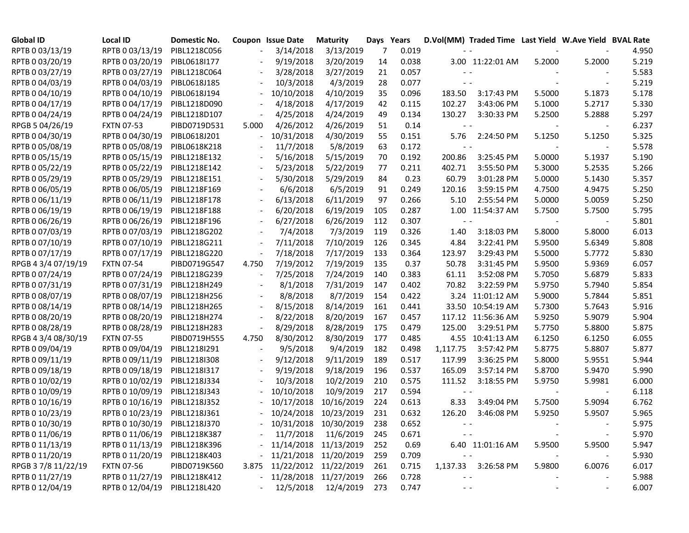| <b>Global ID</b>    | Local ID          | Domestic No. |       | Coupon Issue Date | <b>Maturity</b>       | Days Years |       |          | D.Vol(MM) Traded Time Last Yield W.Ave Yield BVAL Rate |        |        |       |
|---------------------|-------------------|--------------|-------|-------------------|-----------------------|------------|-------|----------|--------------------------------------------------------|--------|--------|-------|
| RPTB 0 03/13/19     | RPTB 0 03/13/19   | PIBL1218C056 |       | 3/14/2018         | 3/13/2019             | 7          | 0.019 |          |                                                        |        |        | 4.950 |
| RPTB 0 03/20/19     | RPTB 0 03/20/19   | PIBL0618I177 |       | 9/19/2018         | 3/20/2019             | 14         | 0.038 |          | 3.00 11:22:01 AM                                       | 5.2000 | 5.2000 | 5.219 |
| RPTB 0 03/27/19     | RPTB 0 03/27/19   | PIBL1218C064 |       | 3/28/2018         | 3/27/2019             | 21         | 0.057 |          |                                                        |        |        | 5.583 |
| RPTB 0 04/03/19     | RPTB 0 04/03/19   | PIBL0618J185 |       | 10/3/2018         | 4/3/2019              | 28         | 0.077 |          |                                                        |        |        | 5.219 |
| RPTB 0 04/10/19     | RPTB 0 04/10/19   | PIBL0618J194 |       | 10/10/2018        | 4/10/2019             | 35         | 0.096 | 183.50   | 3:17:43 PM                                             | 5.5000 | 5.1873 | 5.178 |
| RPTB 0 04/17/19     | RPTB 0 04/17/19   | PIBL1218D090 |       | 4/18/2018         | 4/17/2019             | 42         | 0.115 | 102.27   | 3:43:06 PM                                             | 5.1000 | 5.2717 | 5.330 |
| RPTB 0 04/24/19     | RPTB 0 04/24/19   | PIBL1218D107 |       | 4/25/2018         | 4/24/2019             | 49         | 0.134 | 130.27   | 3:30:33 PM                                             | 5.2500 | 5.2888 | 5.297 |
| RPGB 5 04/26/19     | <b>FXTN 07-53</b> | PIBD0719D531 | 5.000 | 4/26/2012         | 4/26/2019             | 51         | 0.14  |          |                                                        |        |        | 6.237 |
| RPTB 0 04/30/19     | RPTB 0 04/30/19   | PIBL0618J201 |       | 10/31/2018        | 4/30/2019             | 55         | 0.151 |          | 5.76 2:24:50 PM                                        | 5.1250 | 5.1250 | 5.325 |
| RPTB 0 05/08/19     | RPTB 0 05/08/19   | PIBL0618K218 |       | 11/7/2018         | 5/8/2019              | 63         | 0.172 |          |                                                        |        |        | 5.578 |
| RPTB 0 05/15/19     | RPTB 0 05/15/19   | PIBL1218E132 |       | 5/16/2018         | 5/15/2019             | 70         | 0.192 | 200.86   | 3:25:45 PM                                             | 5.0000 | 5.1937 | 5.190 |
| RPTB 0 05/22/19     | RPTB 0 05/22/19   | PIBL1218E142 |       | 5/23/2018         | 5/22/2019             | 77         | 0.211 | 402.71   | 3:55:50 PM                                             | 5.3000 | 5.2535 | 5.266 |
| RPTB 0 05/29/19     | RPTB 0 05/29/19   | PIBL1218E151 |       | 5/30/2018         | 5/29/2019             | 84         | 0.23  | 60.79    | 3:01:28 PM                                             | 5.0000 | 5.1430 | 5.357 |
| RPTB 0 06/05/19     | RPTB 0 06/05/19   | PIBL1218F169 |       | 6/6/2018          | 6/5/2019              | 91         | 0.249 | 120.16   | 3:59:15 PM                                             | 4.7500 | 4.9475 | 5.250 |
| RPTB 0 06/11/19     | RPTB 0 06/11/19   | PIBL1218F178 |       | 6/13/2018         | 6/11/2019             | 97         | 0.266 | 5.10     | 2:55:54 PM                                             | 5.0000 | 5.0059 | 5.250 |
| RPTB 0 06/19/19     | RPTB 0 06/19/19   | PIBL1218F188 |       | 6/20/2018         | 6/19/2019             | 105        | 0.287 |          | 1.00 11:54:37 AM                                       | 5.7500 | 5.7500 | 5.795 |
| RPTB 0 06/26/19     | RPTB 0 06/26/19   | PIBL1218F196 |       | 6/27/2018         | 6/26/2019             | 112        | 0.307 |          | $\sim$ $\sim$                                          |        |        | 5.801 |
| RPTB 0 07/03/19     | RPTB 0 07/03/19   | PIBL1218G202 |       | 7/4/2018          | 7/3/2019              | 119        | 0.326 | 1.40     | 3:18:03 PM                                             | 5.8000 | 5.8000 | 6.013 |
| RPTB 0 07/10/19     | RPTB 0 07/10/19   | PIBL1218G211 |       | 7/11/2018         | 7/10/2019             | 126        | 0.345 | 4.84     | 3:22:41 PM                                             | 5.9500 | 5.6349 | 5.808 |
| RPTB 0 07/17/19     | RPTB 0 07/17/19   | PIBL1218G220 |       | 7/18/2018         | 7/17/2019             | 133        | 0.364 | 123.97   | 3:29:43 PM                                             | 5.5000 | 5.7772 | 5.830 |
| RPGB 4 3/4 07/19/19 | <b>FXTN 07-54</b> | PIBD0719G547 | 4.750 | 7/19/2012         | 7/19/2019             | 135        | 0.37  | 50.78    | 3:31:45 PM                                             | 5.9500 | 5.9369 | 6.057 |
| RPTB 0 07/24/19     | RPTB 0 07/24/19   | PIBL1218G239 |       | 7/25/2018         | 7/24/2019             | 140        | 0.383 | 61.11    | 3:52:08 PM                                             | 5.7050 | 5.6879 | 5.833 |
| RPTB 0 07/31/19     | RPTB 0 07/31/19   | PIBL1218H249 |       | 8/1/2018          | 7/31/2019             | 147        | 0.402 | 70.82    | 3:22:59 PM                                             | 5.9750 | 5.7940 | 5.854 |
| RPTB 0 08/07/19     | RPTB 0 08/07/19   | PIBL1218H256 |       | 8/8/2018          | 8/7/2019              | 154        | 0.422 |          | 3.24 11:01:12 AM                                       | 5.9000 | 5.7844 | 5.851 |
| RPTB 0 08/14/19     | RPTB 0 08/14/19   | PIBL1218H265 |       | 8/15/2018         | 8/14/2019             | 161        | 0.441 |          | 33.50 10:54:19 AM                                      | 5.7300 | 5.7643 | 5.916 |
| RPTB 0 08/20/19     | RPTB 0 08/20/19   | PIBL1218H274 |       | 8/22/2018         | 8/20/2019             | 167        | 0.457 |          | 117.12 11:56:36 AM                                     | 5.9250 | 5.9079 | 5.904 |
| RPTB 0 08/28/19     | RPTB 0 08/28/19   | PIBL1218H283 |       | 8/29/2018         | 8/28/2019             | 175        | 0.479 | 125.00   | 3:29:51 PM                                             | 5.7750 | 5.8800 | 5.875 |
| RPGB 4 3/4 08/30/19 | <b>FXTN 07-55</b> | PIBD0719H555 | 4.750 | 8/30/2012         | 8/30/2019             | 177        | 0.485 |          | 4.55 10:41:13 AM                                       | 6.1250 | 6.1250 | 6.055 |
| RPTB 0 09/04/19     | RPTB 0 09/04/19   | PIBL1218I291 |       | 9/5/2018          | 9/4/2019              | 182        | 0.498 | 1,117.75 | 3:57:42 PM                                             | 5.8775 | 5.8807 | 5.877 |
| RPTB 0 09/11/19     | RPTB 0 09/11/19   | PIBL1218I308 |       | 9/12/2018         | 9/11/2019             | 189        | 0.517 | 117.99   | 3:36:25 PM                                             | 5.8000 | 5.9551 | 5.944 |
| RPTB 0 09/18/19     | RPTB 0 09/18/19   | PIBL1218I317 |       | 9/19/2018         | 9/18/2019             | 196        | 0.537 | 165.09   | 3:57:14 PM                                             | 5.8700 | 5.9470 | 5.990 |
| RPTB 0 10/02/19     | RPTB 0 10/02/19   | PIBL1218J334 |       | 10/3/2018         | 10/2/2019             | 210        | 0.575 | 111.52   | 3:18:55 PM                                             | 5.9750 | 5.9981 | 6.000 |
| RPTB 0 10/09/19     | RPTB 0 10/09/19   | PIBL1218J343 |       | 10/10/2018        | 10/9/2019             | 217        | 0.594 |          |                                                        |        |        | 6.118 |
| RPTB 0 10/16/19     | RPTB 0 10/16/19   | PIBL1218J352 |       | 10/17/2018        | 10/16/2019            | 224        | 0.613 | 8.33     | 3:49:04 PM                                             | 5.7500 | 5.9094 | 6.762 |
| RPTB 0 10/23/19     | RPTB 0 10/23/19   | PIBL1218J361 |       | 10/24/2018        | 10/23/2019            | 231        | 0.632 | 126.20   | 3:46:08 PM                                             | 5.9250 | 5.9507 | 5.965 |
| RPTB 0 10/30/19     | RPTB 0 10/30/19   | PIBL1218J370 |       |                   | 10/31/2018 10/30/2019 | 238        | 0.652 |          |                                                        |        |        | 5.975 |
| RPTB 0 11/06/19     | RPTB 0 11/06/19   | PIBL1218K387 |       | 11/7/2018         | 11/6/2019             | 245        | 0.671 |          | $\frac{1}{2} \left( \frac{1}{2} \right)$               |        |        | 5.970 |
| RPTB 0 11/13/19     | RPTB 0 11/13/19   | PIBL1218K396 |       |                   | 11/14/2018 11/13/2019 | 252        | 0.69  |          | 6.40 11:01:16 AM                                       | 5.9500 | 5.9500 | 5.947 |
| RPTB 0 11/20/19     | RPTB 0 11/20/19   | PIBL1218K403 |       |                   | 11/21/2018 11/20/2019 | 259        | 0.709 |          |                                                        |        |        | 5.930 |
| RPGB 3 7/8 11/22/19 | <b>FXTN 07-56</b> | PIBD0719K560 | 3.875 |                   | 11/22/2012 11/22/2019 | 261        | 0.715 |          | 1,137.33 3:26:58 PM                                    | 5.9800 | 6.0076 | 6.017 |
| RPTB 0 11/27/19     | RPTB 0 11/27/19   | PIBL1218K412 |       |                   | 11/28/2018 11/27/2019 | 266        | 0.728 |          | $\frac{1}{2} \left( \frac{1}{2} \right)$               |        |        | 5.988 |
| RPTB 0 12/04/19     | RPTB 0 12/04/19   | PIBL1218L420 |       | 12/5/2018         | 12/4/2019             | 273        | 0.747 |          | $ \,$ $-$                                              |        |        | 6.007 |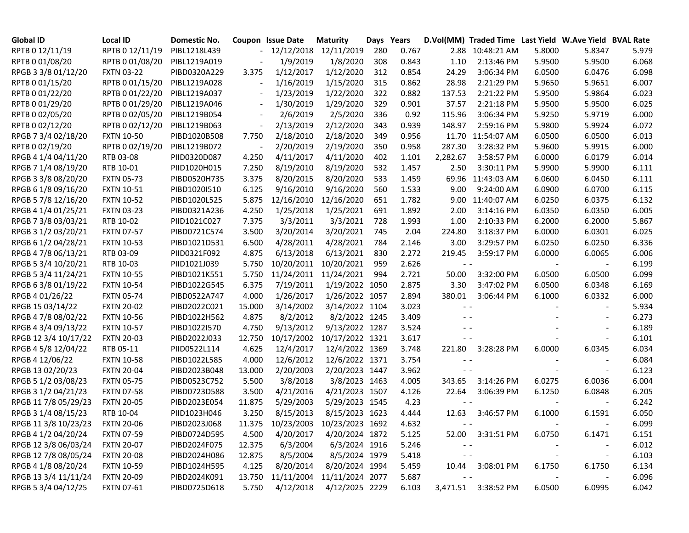| <b>Global ID</b>     | <b>Local ID</b>   | Domestic No. |                          | <b>Coupon Issue Date</b> | <b>Maturity</b>       | Days Years |       |                                          | D.Vol(MM) Traded Time Last Yield W.Ave Yield BVAL Rate |        |        |       |
|----------------------|-------------------|--------------|--------------------------|--------------------------|-----------------------|------------|-------|------------------------------------------|--------------------------------------------------------|--------|--------|-------|
| RPTB 0 12/11/19      | RPTB 0 12/11/19   | PIBL1218L439 |                          |                          | 12/12/2018 12/11/2019 | 280        | 0.767 |                                          | 2.88 10:48:21 AM                                       | 5.8000 | 5.8347 | 5.979 |
| RPTB 0 01/08/20      | RPTB 0 01/08/20   | PIBL1219A019 |                          | 1/9/2019                 | 1/8/2020              | 308        | 0.843 | 1.10                                     | 2:13:46 PM                                             | 5.9500 | 5.9500 | 6.068 |
| RPGB 3 3/8 01/12/20  | <b>FXTN 03-22</b> | PIBD0320A229 | 3.375                    | 1/12/2017                | 1/12/2020             | 312        | 0.854 | 24.29                                    | 3:06:34 PM                                             | 6.0500 | 6.0476 | 6.098 |
| RPTB 0 01/15/20      | RPTB 0 01/15/20   | PIBL1219A028 |                          | 1/16/2019                | 1/15/2020             | 315        | 0.862 | 28.98                                    | 2:21:29 PM                                             | 5.9650 | 5.9651 | 6.007 |
| RPTB 0 01/22/20      | RPTB 0 01/22/20   | PIBL1219A037 |                          | 1/23/2019                | 1/22/2020             | 322        | 0.882 | 137.53                                   | 2:21:22 PM                                             | 5.9500 | 5.9864 | 6.023 |
| RPTB 0 01/29/20      | RPTB 0 01/29/20   | PIBL1219A046 |                          | 1/30/2019                | 1/29/2020             | 329        | 0.901 | 37.57                                    | 2:21:18 PM                                             | 5.9500 | 5.9500 | 6.025 |
| RPTB 0 02/05/20      | RPTB 0 02/05/20   | PIBL1219B054 |                          | 2/6/2019                 | 2/5/2020              | 336        | 0.92  | 115.96                                   | 3:06:34 PM                                             | 5.9250 | 5.9719 | 6.000 |
| RPTB 0 02/12/20      | RPTB 0 02/12/20   | PIBL1219B063 | $\overline{\phantom{a}}$ | 2/13/2019                | 2/12/2020             | 343        | 0.939 | 148.97                                   | 2:59:16 PM                                             | 5.9800 | 5.9924 | 6.072 |
| RPGB 7 3/4 02/18/20  | <b>FXTN 10-50</b> | PIBD1020B508 | 7.750                    | 2/18/2010                | 2/18/2020             | 349        | 0.956 |                                          | 11.70 11:54:07 AM                                      | 6.0500 | 6.0500 | 6.013 |
| RPTB 0 02/19/20      | RPTB 0 02/19/20   | PIBL1219B072 |                          | 2/20/2019                | 2/19/2020             | 350        | 0.958 | 287.30                                   | 3:28:32 PM                                             | 5.9600 | 5.9915 | 6.000 |
| RPGB 4 1/4 04/11/20  | RTB 03-08         | PIID0320D087 | 4.250                    | 4/11/2017                | 4/11/2020             | 402        | 1.101 | 2,282.67                                 | 3:58:57 PM                                             | 6.0000 | 6.0179 | 6.014 |
| RPGB 7 1/4 08/19/20  | RTB 10-01         | PIID1020H015 | 7.250                    | 8/19/2010                | 8/19/2020             | 532        | 1.457 | 2.50                                     | 3:30:11 PM                                             | 5.9900 | 5.9900 | 6.111 |
| RPGB 3 3/8 08/20/20  | <b>FXTN 05-73</b> | PIBD0520H735 | 3.375                    | 8/20/2015                | 8/20/2020             | 533        | 1.459 | 69.96                                    | 11:43:03 AM                                            | 6.0600 | 6.0450 | 6.111 |
| RPGB 6 1/8 09/16/20  | <b>FXTN 10-51</b> | PIBD1020I510 | 6.125                    | 9/16/2010                | 9/16/2020             | 560        | 1.533 | 9.00                                     | 9:24:00 AM                                             | 6.0900 | 6.0700 | 6.115 |
| RPGB 5 7/8 12/16/20  | <b>FXTN 10-52</b> | PIBD1020L525 | 5.875                    | 12/16/2010               | 12/16/2020            | 651        | 1.782 |                                          | 9.00 11:40:07 AM                                       | 6.0250 | 6.0375 | 6.132 |
| RPGB 4 1/4 01/25/21  | <b>FXTN 03-23</b> | PIBD0321A236 | 4.250                    | 1/25/2018                | 1/25/2021             | 691        | 1.892 | 2.00                                     | 3:14:16 PM                                             | 6.0350 | 6.0350 | 6.005 |
| RPGB 7 3/8 03/03/21  | RTB 10-02         | PIID1021C027 | 7.375                    | 3/3/2011                 | 3/3/2021              | 728        | 1.993 | 1.00                                     | 2:10:33 PM                                             | 6.2000 | 6.2000 | 5.867 |
| RPGB 3 1/2 03/20/21  | <b>FXTN 07-57</b> | PIBD0721C574 | 3.500                    | 3/20/2014                | 3/20/2021             | 745        | 2.04  | 224.80                                   | 3:18:37 PM                                             | 6.0000 | 6.0301 | 6.025 |
| RPGB 6 1/2 04/28/21  | <b>FXTN 10-53</b> | PIBD1021D531 | 6.500                    | 4/28/2011                | 4/28/2021             | 784        | 2.146 | 3.00                                     | 3:29:57 PM                                             | 6.0250 | 6.0250 | 6.336 |
| RPGB 4 7/8 06/13/21  | RTB 03-09         | PIID0321F092 | 4.875                    | 6/13/2018                | 6/13/2021             | 830        | 2.272 | 219.45                                   | 3:59:17 PM                                             | 6.0000 | 6.0065 | 6.006 |
| RPGB 5 3/4 10/20/21  | RTB 10-03         | PIID1021J039 | 5.750                    | 10/20/2011               | 10/20/2021            | 959        | 2.626 | $\frac{1}{2} \left( \frac{1}{2} \right)$ |                                                        |        |        | 6.199 |
| RPGB 5 3/4 11/24/21  | <b>FXTN 10-55</b> | PIBD1021K551 | 5.750                    | 11/24/2011               | 11/24/2021            | 994        | 2.721 | 50.00                                    | 3:32:00 PM                                             | 6.0500 | 6.0500 | 6.099 |
| RPGB 63/801/19/22    | <b>FXTN 10-54</b> | PIBD1022G545 | 6.375                    | 7/19/2011                | 1/19/2022 1050        |            | 2.875 | 3.30                                     | 3:47:02 PM                                             | 6.0500 | 6.0348 | 6.169 |
| RPGB 4 01/26/22      | <b>FXTN 05-74</b> | PIBD0522A747 | 4.000                    | 1/26/2017                | 1/26/2022 1057        |            | 2.894 | 380.01                                   | 3:06:44 PM                                             | 6.1000 | 6.0332 | 6.000 |
| RPGB 15 03/14/22     | <b>FXTN 20-02</b> | PIBD2022C021 | 15.000                   | 3/14/2002                | 3/14/2022 1104        |            | 3.023 | $\frac{1}{2} \left( \frac{1}{2} \right)$ |                                                        |        |        | 5.934 |
| RPGB 4 7/8 08/02/22  | <b>FXTN 10-56</b> | PIBD1022H562 | 4.875                    | 8/2/2012                 | 8/2/2022 1245         |            | 3.409 |                                          | $\sim$ $\sim$                                          |        |        | 6.273 |
| RPGB 4 3/4 09/13/22  | <b>FXTN 10-57</b> | PIBD1022I570 | 4.750                    | 9/13/2012                | 9/13/2022 1287        |            | 3.524 |                                          | $ -$                                                   |        |        | 6.189 |
| RPGB 12 3/4 10/17/22 | <b>FXTN 20-03</b> | PIBD2022J033 | 12.750                   | 10/17/2002               | 10/17/2022 1321       |            | 3.617 |                                          |                                                        |        |        | 6.101 |
| RPGB 4 5/8 12/04/22  | RTB 05-11         | PIID0522L114 | 4.625                    | 12/4/2017                | 12/4/2022 1369        |            | 3.748 | 221.80                                   | 3:28:28 PM                                             | 6.0000 | 6.0345 | 6.034 |
| RPGB 4 12/06/22      | <b>FXTN 10-58</b> | PIBD1022L585 | 4.000                    | 12/6/2012                | 12/6/2022 1371        |            | 3.754 | $ -$                                     |                                                        |        |        | 6.084 |
| RPGB 13 02/20/23     | <b>FXTN 20-04</b> | PIBD2023B048 | 13.000                   | 2/20/2003                | 2/20/2023 1447        |            | 3.962 |                                          |                                                        |        |        | 6.123 |
| RPGB 5 1/2 03/08/23  | <b>FXTN 05-75</b> | PIBD0523C752 | 5.500                    | 3/8/2018                 | 3/8/2023 1463         |            | 4.005 | 343.65                                   | 3:14:26 PM                                             | 6.0275 | 6.0036 | 6.004 |
| RPGB 3 1/2 04/21/23  | <b>FXTN 07-58</b> | PIBD0723D588 | 3.500                    | 4/21/2016                | 4/21/2023 1507        |            | 4.126 | 22.64                                    | 3:06:39 PM                                             | 6.1250 | 6.0848 | 6.205 |
| RPGB 11 7/8 05/29/23 | <b>FXTN 20-05</b> | PIBD2023E054 | 11.875                   | 5/29/2003                | 5/29/2023 1545        |            | 4.23  |                                          |                                                        |        |        | 6.242 |
| RPGB 3 1/4 08/15/23  | RTB 10-04         | PIID1023H046 | 3.250                    | 8/15/2013                | 8/15/2023 1623        |            | 4.444 | 12.63                                    | 3:46:57 PM                                             | 6.1000 | 6.1591 | 6.050 |
| RPGB 11 3/8 10/23/23 | <b>FXTN 20-06</b> | PIBD2023J068 | 11.375                   | 10/23/2003               | 10/23/2023 1692       |            | 4.632 |                                          |                                                        |        |        | 6.099 |
| RPGB 4 1/2 04/20/24  | <b>FXTN 07-59</b> | PIBD0724D595 | 4.500                    | 4/20/2017                | 4/20/2024 1872        |            | 5.125 |                                          | 52.00 3:31:51 PM                                       | 6.0750 | 6.1471 | 6.151 |
| RPGB 12 3/8 06/03/24 | <b>FXTN 20-07</b> | PIBD2024F075 | 12.375                   | 6/3/2004                 | 6/3/2024 1916         |            | 5.246 | $ -$                                     |                                                        |        |        | 6.012 |
| RPGB 12 7/8 08/05/24 | <b>FXTN 20-08</b> | PIBD2024H086 | 12.875                   | 8/5/2004                 | 8/5/2024 1979         |            | 5.418 |                                          | $\frac{1}{2} \left( \frac{1}{2} \right)$               |        |        | 6.103 |
| RPGB 4 1/8 08/20/24  | <b>FXTN 10-59</b> | PIBD1024H595 | 4.125                    | 8/20/2014                | 8/20/2024 1994        |            | 5.459 |                                          | 10.44 3:08:01 PM                                       | 6.1750 | 6.1750 | 6.134 |
| RPGB 13 3/4 11/11/24 | <b>FXTN 20-09</b> | PIBD2024K091 | 13.750                   | 11/11/2004               | 11/11/2024 2077       |            | 5.687 | $ -$                                     |                                                        |        |        | 6.096 |
| RPGB 5 3/4 04/12/25  | <b>FXTN 07-61</b> | PIBD0725D618 | 5.750                    | 4/12/2018                | 4/12/2025 2229        |            | 6.103 |                                          | 3,471.51 3:38:52 PM                                    | 6.0500 | 6.0995 | 6.042 |
|                      |                   |              |                          |                          |                       |            |       |                                          |                                                        |        |        |       |